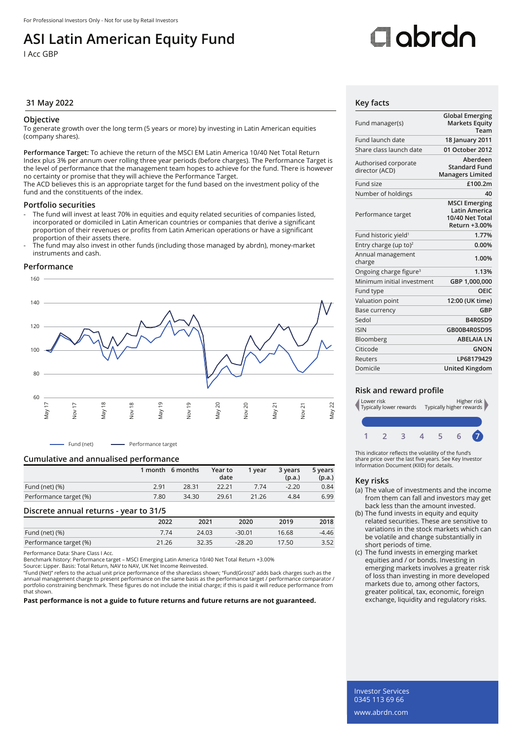## **ASI Latin American Equity Fund**

I Acc GBP

# Oobrdo

#### **31 May 2022 Key facts**

#### **Objective**

To generate growth over the long term (5 years or more) by investing in Latin American equities (company shares).

**Performance Target:** To achieve the return of the MSCI EM Latin America 10/40 Net Total Return Index plus 3% per annum over rolling three year periods (before charges). The Performance Target is the level of performance that the management team hopes to achieve for the fund. There is however no certainty or promise that they will achieve the Performance Target.

The ACD believes this is an appropriate target for the fund based on the investment policy of the fund and the constituents of the index.

#### **Portfolio securities**

- The fund will invest at least 70% in equities and equity related securities of companies listed, incorporated or domiciled in Latin American countries or companies that derive a significant proportion of their revenues or profits from Latin American operations or have a significant proportion of their assets there.
- The fund may also invest in other funds (including those managed by abrdn), money-market instruments and cash.

#### **Performance**



- Fund (net) - Performance target

#### **Cumulative and annualised performance**

|                        |      | 1 month 6 months | Year to<br>date | 1 vear | 3 years<br>(p.a.) | 5 years<br>(p.a.) |
|------------------------|------|------------------|-----------------|--------|-------------------|-------------------|
| Fund (net) $(\%)$      | 2.91 | 28.31            | 22.21           | 7.74   | $-2.20$           | 0.84              |
| Performance target (%) | 7.80 | 34.30            | 29.61           | 21.26  | 4.84              | 6.99              |

#### **Discrete annual returns - year to 31/5**

|                        | 2022  | 2021  | 2020     | 2019  | 2018  |
|------------------------|-------|-------|----------|-------|-------|
| Fund (net) (%)         | 7.74  | 24.03 | $-30.01$ | 16.68 | -4.46 |
| Performance target (%) | 21.26 | 32.35 | $-28.20$ | 17.50 | 3.52  |
|                        |       |       |          |       |       |

Performance Data: Share Class I Acc.

Benchmark history: Performance target – MSCI Emerging Latin America 10/40 Net Total Return +3.00%

Source: Lipper. Basis: Total Return, NAV to NAV, UK Net Income Reinvested.

"Fund (Net)" refers to the actual unit price performance of the shareclass shown; "Fund(Gross)" adds back charges such as the annual management charge to present performance on the same basis as the performance target / performance comparator /<br>portfolio constraining benchmark. These figures do not include the initial charge; if this is paid it w that shown.

**Past performance is not a guide to future returns and future returns are not guaranteed.**

| Fund manager(s)                        | <b>Global Emerging</b><br><b>Markets Equity</b><br>Team                          |
|----------------------------------------|----------------------------------------------------------------------------------|
| Fund launch date                       | 18 January 2011                                                                  |
| Share class launch date                | 01 October 2012                                                                  |
| Authorised corporate<br>director (ACD) | Aberdeen<br><b>Standard Fund</b><br><b>Managers Limited</b>                      |
| Fund size                              | £100.2m                                                                          |
| Number of holdings                     | 40                                                                               |
| Performance target                     | <b>MSCI Emerging</b><br><b>Latin America</b><br>10/40 Net Total<br>Return +3.00% |
| Fund historic yield <sup>1</sup>       | 1.77%                                                                            |
| Entry charge (up to) <sup>2</sup>      | 0.00%                                                                            |
| Annual management<br>charge            | 1.00%                                                                            |
| Ongoing charge figure <sup>3</sup>     | 1.13%                                                                            |
| Minimum initial investment             | GBP 1,000,000                                                                    |
| Fund type                              | OEIC                                                                             |
| Valuation point                        | 12:00 (UK time)                                                                  |
| Base currency                          | GBP                                                                              |
| Sedol                                  | B4R0SD9                                                                          |
| <b>ISIN</b>                            | GB00B4R0SD95                                                                     |
| Bloomberg                              | <b>ABELAIA LN</b>                                                                |
| Citicode                               | <b>GNON</b>                                                                      |
| Reuters                                | LP68179429                                                                       |
| Domicile                               | <b>United Kingdom</b>                                                            |

#### **Risk and reward profile**



This indicator reflects the volatility of the fund's share price over the last five years. See Key Investor Information Document (KIID) for details.

#### **Key risks**

- (a) The value of investments and the income from them can fall and investors may get back less than the amount invested.
- (b) The fund invests in equity and equity related securities. These are sensitive to variations in the stock markets which can be volatile and change substantially in short periods of time.
- (c) The fund invests in emerging market equities and / or bonds. Investing in emerging markets involves a greater risk of loss than investing in more developed markets due to, among other factors, greater political, tax, economic, foreign exchange, liquidity and regulatory risks.

Investor Services 0345 113 69 66 www.abrdn.com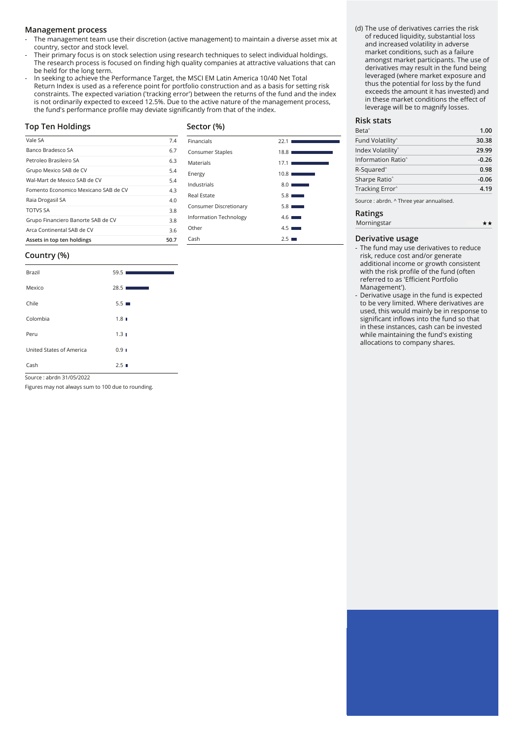#### **Management process**

- The management team use their discretion (active management) to maintain a diverse asset mix at country, sector and stock level.
- Their primary focus is on stock selection using research techniques to select individual holdings. The research process is focused on finding high quality companies at attractive valuations that can be held for the long term.
- In seeking to achieve the Performance Target, the MSCI EM Latin America 10/40 Net Total Return Index is used as a reference point for portfolio construction and as a basis for setting risk constraints. The expected variation ('tracking error') between the returns of the fund and the index is not ordinarily expected to exceed 12.5%. Due to the active nature of the management process, the fund's performance profile may deviate significantly from that of the index.

#### **Top Ten Holdings**

### **Sector (%)**

| Vale SA                              | 7.4  | Financials             | 22.1 |
|--------------------------------------|------|------------------------|------|
| Banco Bradesco SA                    | 6.7  | Consumer Staples       | 18.8 |
| Petroleo Brasileiro SA               | 6.3  | Materials              | 17.1 |
| Grupo Mexico SAB de CV               | 5.4  | Energy                 | 10.8 |
| Wal-Mart de Mexico SAB de CV         | 5.4  | Industrials            | 8.0  |
| Fomento Economico Mexicano SAB de CV | 4.3  | Real Estate            | 5.8  |
| Raia Drogasil SA                     | 4.0  |                        |      |
| <b>TOTVS SA</b>                      | 3.8  | Consumer Discretionary | 5.8  |
| Grupo Financiero Banorte SAB de CV   | 3.8  | Information Technology | 4.6  |
| Arca Continental SAB de CV           | 3.6  | Other                  | 4.5  |
| Assets in top ten holdings           | 50.7 | Cash                   | 2.5  |

#### **Country (%)**

| Brazil                   | 59.51<br><b>Service State</b> |
|--------------------------|-------------------------------|
| Mexico                   | 28.5                          |
| Chile                    | $5.5 \blacksquare$            |
| Colombia                 | $1.8$ $\blacksquare$          |
| Peru                     | $1.3 \;$                      |
| United States of America | 0.91                          |
| Cash                     | 2.5                           |

Source : abrdn 31/05/2022

Figures may not always sum to 100 due to rounding.

#### (d) The use of derivatives carries the risk of reduced liquidity, substantial loss and increased volatility in adverse market conditions, such as a failure amongst market participants. The use of derivatives may result in the fund being leveraged (where market exposure and thus the potential for loss by the fund exceeds the amount it has invested) and in these market conditions the effect of leverage will be to magnify losses.

#### **Risk stats**

| Beta <sup>^</sup>              | 1.00    |
|--------------------------------|---------|
| Fund Volatility <sup>^</sup>   | 30.38   |
| Index Volatility <sup>^</sup>  | 29.99   |
| Information Ratio <sup>^</sup> | $-0.26$ |
| R-Squared <sup>^</sup>         | 0.98    |
| Sharpe Ratio <sup>^</sup>      | $-0.06$ |
| Tracking Error <sup>^</sup>    | 4.19    |
|                                |         |

Source : abrdn. ^ Three year annualised.

#### **Ratings**

| Morningstar |  |
|-------------|--|
|             |  |

#### **Derivative usage**

- The fund may use derivatives to reduce risk, reduce cost and/or generate additional income or growth consistent with the risk profile of the fund (often referred to as 'Efficient Portfolio Management').
- Derivative usage in the fund is expected to be very limited. Where derivatives are used, this would mainly be in response to significant inflows into the fund so that in these instances, cash can be invested while maintaining the fund's existing allocations to company shares.